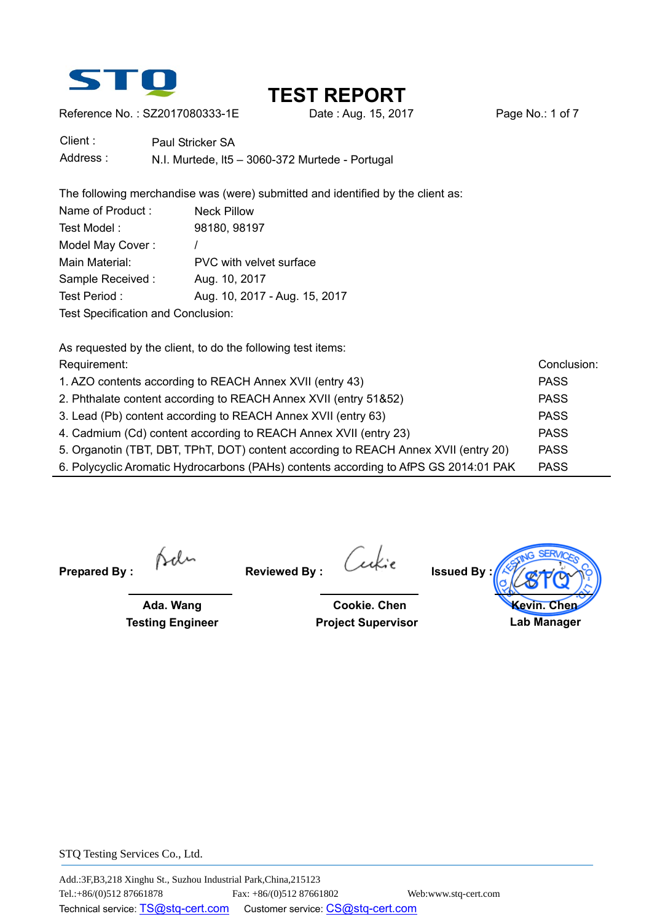

Reference No.: SZ2017080333-1E Date : Aug. 15, 2017 Page No.: 1 of 7

Client : Paul Stricker SA Address : N.I. Murtede, It5 - 3060-372 Murtede - Portugal

The following merchandise was (were) submitted and identified by the client as: Name of Product : Neck Pillow Test Model : 98180, 98197 Model May Cover : / Main Material: PVC with velvet surface Sample Received : Aug. 10, 2017 Test Period : <br>Aug. 10, 2017 - Aug. 15, 2017 Test Specification and Conclusion:

As requested by the client, to do the following test items:

| Requirement:                                                                         | Conclusion: |
|--------------------------------------------------------------------------------------|-------------|
| 1. AZO contents according to REACH Annex XVII (entry 43)                             | <b>PASS</b> |
| 2. Phthalate content according to REACH Annex XVII (entry 51&52)                     | <b>PASS</b> |
| 3. Lead (Pb) content according to REACH Annex XVII (entry 63)                        | <b>PASS</b> |
| 4. Cadmium (Cd) content according to REACH Annex XVII (entry 23)                     | <b>PASS</b> |
| 5. Organotin (TBT, DBT, TPhT, DOT) content according to REACH Annex XVII (entry 20)  | <b>PASS</b> |
| 6. Polycyclic Aromatic Hydrocarbons (PAHs) contents according to AfPS GS 2014:01 PAK | <b>PASS</b> |

**Prepared By :** 

Beli

**Reviewed By :** 

rulie

**Issued By :** 

 **Ada. Wang Testing Engineer** 

 **Cookie. Chen Project Supervisor**

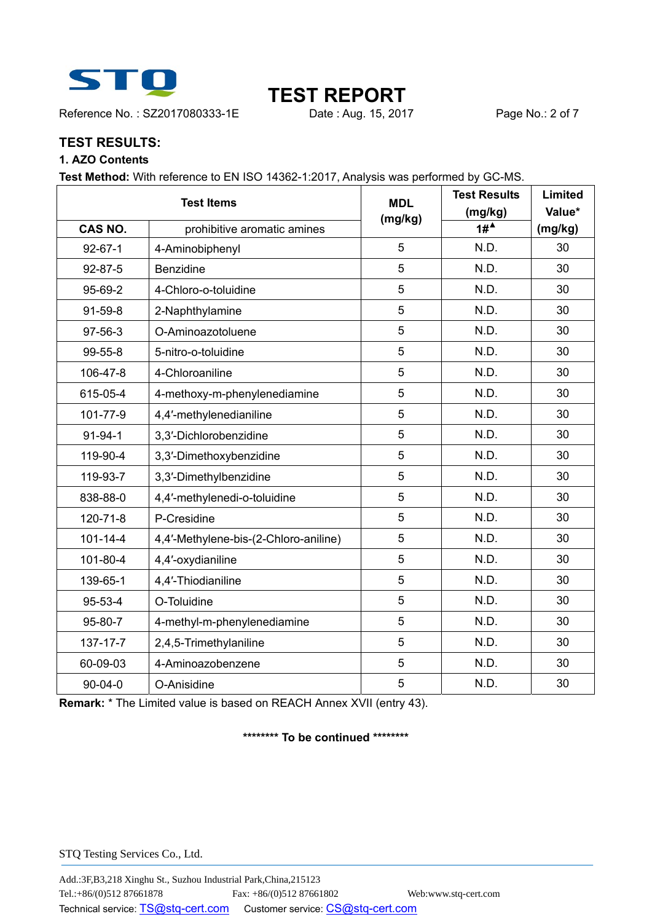

Reference No.: SZ2017080333-1E Date : Aug. 15, 2017 Page No.: 2 of 7

## **TEST REPORT**

#### **TEST RESULTS:**

#### **1. AZO Contents**

**Test Method:** With reference to EN ISO 14362-1:2017, Analysis was performed by GC-MS.

| <b>Test Items</b> |                                       | <b>MDL</b> | <b>Test Results</b>   | <b>Limited</b> |
|-------------------|---------------------------------------|------------|-----------------------|----------------|
|                   |                                       |            | (mg/kg)               | Value*         |
| <b>CAS NO.</b>    | prohibitive aromatic amines           | (mg/kg)    | $1#^{\blacktriangle}$ | (mg/kg)        |
| $92 - 67 - 1$     | 4-Aminobiphenyl                       | 5          | N.D.                  | 30             |
| 92-87-5           | <b>Benzidine</b>                      | 5          | N.D.                  | 30             |
| 95-69-2           | 4-Chloro-o-toluidine                  | 5          | N.D.                  | 30             |
| $91 - 59 - 8$     | 2-Naphthylamine                       | 5          | N.D.                  | 30             |
| 97-56-3           | O-Aminoazotoluene                     | 5          | N.D.                  | 30             |
| 99-55-8           | 5-nitro-o-toluidine                   | 5          | N.D.                  | 30             |
| 106-47-8          | 4-Chloroaniline                       | 5          | N.D.                  | 30             |
| 615-05-4          | 4-methoxy-m-phenylenediamine          | 5          | N.D.                  | 30             |
| 101-77-9          | 4,4'-methylenedianiline               | 5          | N.D.                  | 30             |
| $91 - 94 - 1$     | 3,3'-Dichlorobenzidine                | 5          | N.D.                  | 30             |
| 119-90-4          | 3,3'-Dimethoxybenzidine               | 5          | N.D.                  | 30             |
| 119-93-7          | 3,3'-Dimethylbenzidine                | 5          | N.D.                  | 30             |
| 838-88-0          | 4,4'-methylenedi-o-toluidine          | 5          | N.D.                  | 30             |
| 120-71-8          | P-Cresidine                           | 5          | N.D.                  | 30             |
| $101 - 14 - 4$    | 4,4'-Methylene-bis-(2-Chloro-aniline) | 5          | N.D.                  | 30             |
| 101-80-4          | 4,4'-oxydianiline                     | 5          | N.D.                  | 30             |
| 139-65-1          | 4,4'-Thiodianiline                    | 5          | N.D.                  | 30             |
| 95-53-4           | O-Toluidine                           | 5          | N.D.                  | 30             |
| 95-80-7           | 4-methyl-m-phenylenediamine           | 5          | N.D.                  | 30             |
| 137-17-7          | 2,4,5-Trimethylaniline                | 5          | N.D.                  | 30             |
| 60-09-03          | 4-Aminoazobenzene                     | 5          | N.D.                  | 30             |
| $90 - 04 - 0$     | O-Anisidine                           | 5          | N.D.                  | 30             |

**Remark:** \* The Limited value is based on REACH Annex XVII (entry 43).

#### **\*\*\*\*\*\*\*\* To be continued \*\*\*\*\*\*\*\***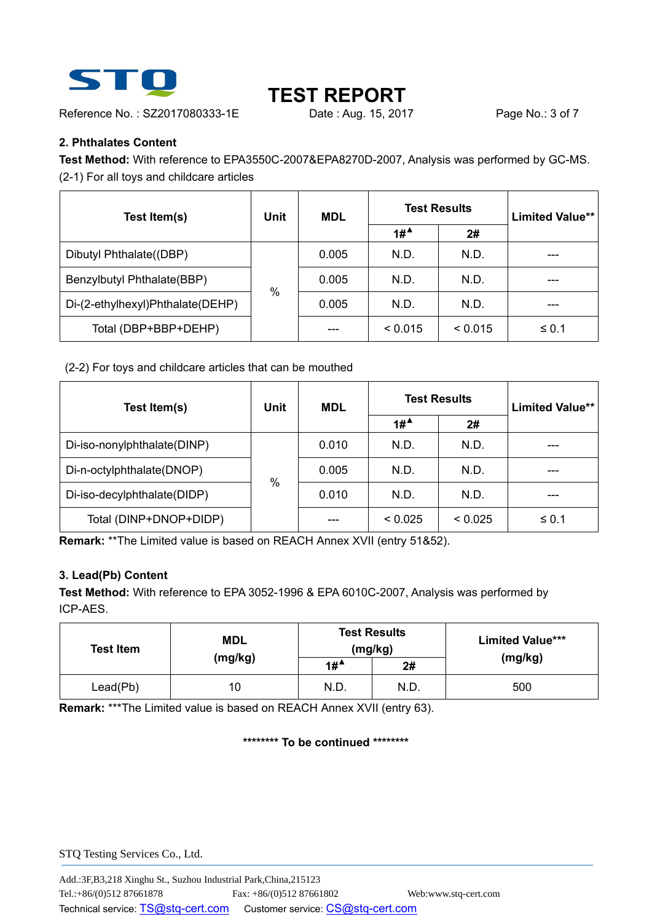

Reference No.: SZ2017080333-1E Date : Aug. 15, 2017 Page No.: 3 of 7

#### **2. Phthalates Content**

**Test Method:** With reference to EPA3550C-2007&EPA8270D-2007, Analysis was performed by GC-MS. (2-1) For all toys and childcare articles

| Test Item(s)                     | Unit | <b>MDL</b> | <b>Test Results</b>                     |         | <b>Limited Value**</b> |
|----------------------------------|------|------------|-----------------------------------------|---------|------------------------|
|                                  |      |            | $1\#$ <sup><math>\triangle</math></sup> | 2#      |                        |
| Dibutyl Phthalate((DBP)          | $\%$ | 0.005      | N.D.                                    | N.D.    |                        |
| Benzylbutyl Phthalate(BBP)       |      | 0.005      | N.D.                                    | N.D.    |                        |
| Di-(2-ethylhexyl)Phthalate(DEHP) |      | 0.005      | N.D.                                    | N.D.    |                        |
| Total (DBP+BBP+DEHP)             |      | ---        | < 0.015                                 | < 0.015 | $\leq 0.1$             |

(2-2) For toys and childcare articles that can be mouthed

| Test Item(s)                | Unit | <b>MDL</b> | <b>Test Results</b> |         | <b>Limited Value**</b> |
|-----------------------------|------|------------|---------------------|---------|------------------------|
|                             |      |            | $1#^4$              | 2#      |                        |
| Di-iso-nonylphthalate(DINP) | %    | 0.010      | N.D.                | N.D.    | ---                    |
| Di-n-octylphthalate(DNOP)   |      | 0.005      | N.D.                | N.D.    |                        |
| Di-iso-decylphthalate(DIDP) |      | 0.010      | N.D.                | N.D.    | ---                    |
| Total (DINP+DNOP+DIDP)      |      |            | < 0.025             | < 0.025 | $\leq 0.1$             |

**Remark:** \*\*The Limited value is based on REACH Annex XVII (entry 51&52).

#### **3. Lead(Pb) Content**

**Test Method:** With reference to EPA 3052-1996 & EPA 6010C-2007, Analysis was performed by ICP-AES.

| <b>Test Item</b> | <b>Test Results</b><br><b>MDL</b><br>(mg/kg) |                                        |      | <b>Limited Value***</b> |
|------------------|----------------------------------------------|----------------------------------------|------|-------------------------|
|                  | (mg/kg)                                      | $1#$ <sup><math>\triangle</math></sup> | 2#   | (mg/kg)                 |
| Lead(Pb)         | 10                                           | N.D.                                   | N.D. | 500                     |

**Remark:** \*\*\*The Limited value is based on REACH Annex XVII (entry 63).

#### **\*\*\*\*\*\*\*\* To be continued \*\*\*\*\*\*\*\***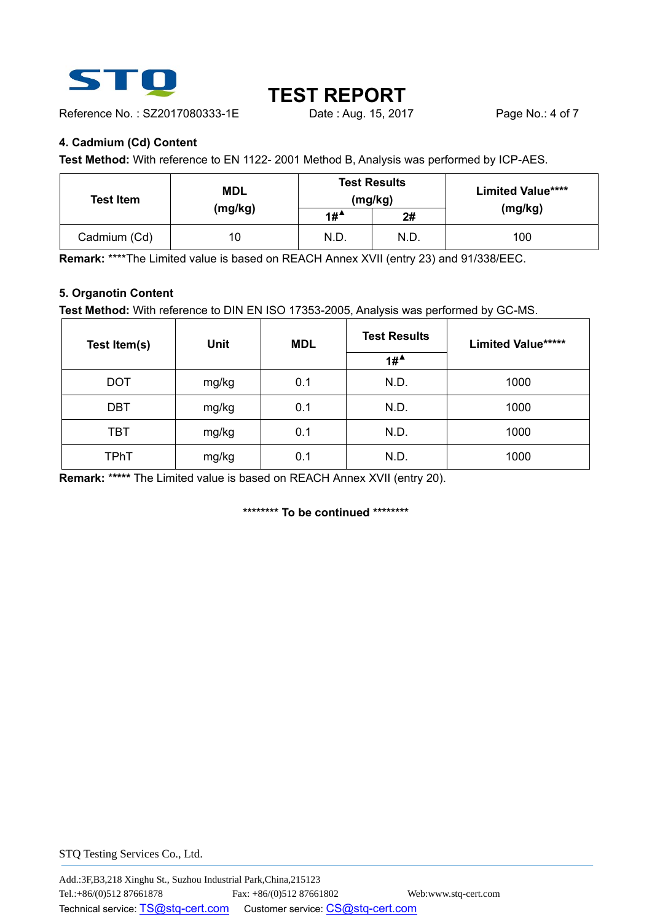

Reference No.: SZ2017080333-1E Date : Aug. 15, 2017 Page No.: 4 of 7

#### **4. Cadmium (Cd) Content**

**Test Method:** With reference to EN 1122- 2001 Method B, Analysis was performed by ICP-AES.

| <b>Test Item</b> | <b>MDL</b> | <b>Test Results</b><br>(mg/kg)         |      | <b>Limited Value****</b> |
|------------------|------------|----------------------------------------|------|--------------------------|
|                  | (mg/kg)    | $1#$ <sup><math>\triangle</math></sup> | 2#   | (mg/kg)                  |
| Cadmium (Cd)     | 10         | N.D.                                   | N.D. | 100                      |

**Remark:** \*\*\*\*The Limited value is based on REACH Annex XVII (entry 23) and 91/338/EEC.

#### **5. Organotin Content**

**Test Method:** With reference to DIN EN ISO 17353-2005, Analysis was performed by GC-MS.

| Test Item(s) | <b>Unit</b> | <b>MDL</b> | <b>Test Results</b><br>$1\#$ <sup><math>\triangle</math></sup> | <b>Limited Value*****</b> |
|--------------|-------------|------------|----------------------------------------------------------------|---------------------------|
| <b>DOT</b>   | mg/kg       | 0.1        | N.D.                                                           | 1000                      |
| <b>DBT</b>   | mg/kg       | 0.1        | N.D.                                                           | 1000                      |
| TBT          | mg/kg       | 0.1        | N.D.                                                           | 1000                      |
| TPhT         | mg/kg       | 0.1        | N.D.                                                           | 1000                      |

**Remark:** \***\*\*\*\*** The Limited value is based on REACH Annex XVII (entry 20).

**\*\*\*\*\*\*\*\* To be continued \*\*\*\*\*\*\*\***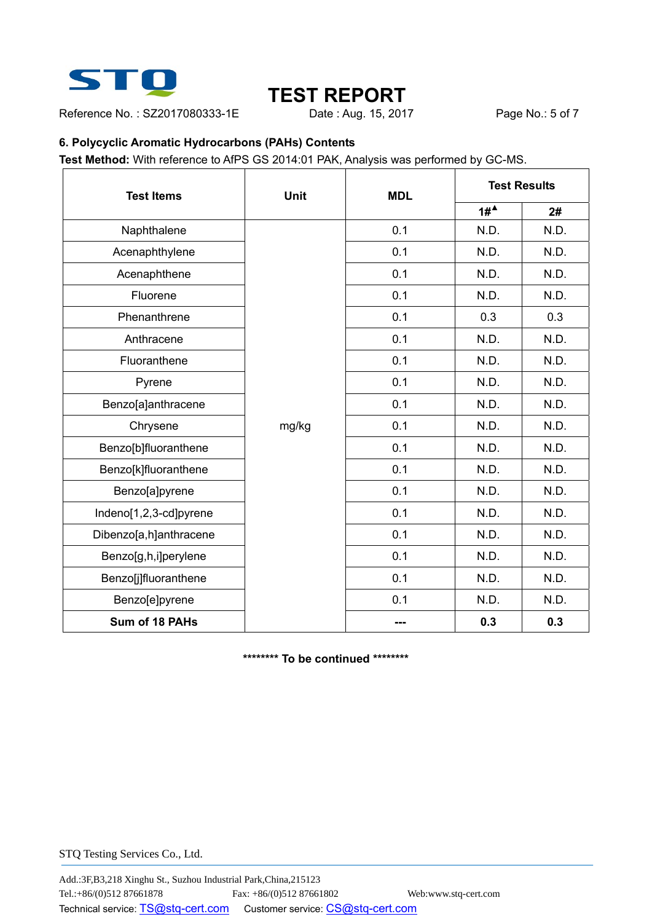

# **TEST REPORT**<br>Date : Aug. 15, 2017

Reference No.: SZ2017080333-1E Date : Aug. 15, 2017 Page No.: 5 of 7

#### **6. Polycyclic Aromatic Hydrocarbons (PAHs) Contents**

### **Test Method:** With reference to AfPS GS 2014:01 PAK, Analysis was performed by GC-MS.

| <b>Test Items</b>      | <b>Unit</b><br><b>MDL</b> |     | <b>Test Results</b> |      |
|------------------------|---------------------------|-----|---------------------|------|
|                        |                           |     | $1#^4$              | 2#   |
| Naphthalene            |                           | 0.1 | N.D.                | N.D. |
| Acenaphthylene         |                           | 0.1 | N.D.                | N.D. |
| Acenaphthene           |                           | 0.1 | N.D.                | N.D. |
| Fluorene               |                           | 0.1 | N.D.                | N.D. |
| Phenanthrene           |                           | 0.1 | 0.3                 | 0.3  |
| Anthracene             |                           | 0.1 | N.D.                | N.D. |
| Fluoranthene           |                           | 0.1 | N.D.                | N.D. |
| Pyrene                 |                           | 0.1 | N.D.                | N.D. |
| Benzo[a]anthracene     |                           | 0.1 | N.D.                | N.D. |
| Chrysene               | mg/kg                     | 0.1 | N.D.                | N.D. |
| Benzo[b]fluoranthene   |                           | 0.1 | N.D.                | N.D. |
| Benzo[k]fluoranthene   |                           | 0.1 | N.D.                | N.D. |
| Benzo[a]pyrene         |                           | 0.1 | N.D.                | N.D. |
| Indeno[1,2,3-cd]pyrene |                           | 0.1 | N.D.                | N.D. |
| Dibenzo[a,h]anthracene |                           | 0.1 | N.D.                | N.D. |
| Benzo[g,h,i]perylene   |                           | 0.1 | N.D.                | N.D. |
| Benzo[j]fluoranthene   |                           | 0.1 | N.D.                | N.D. |
| Benzo[e]pyrene         |                           | 0.1 | N.D.                | N.D. |
| Sum of 18 PAHs         |                           |     | 0.3                 | 0.3  |

**\*\*\*\*\*\*\*\* To be continued \*\*\*\*\*\*\*\***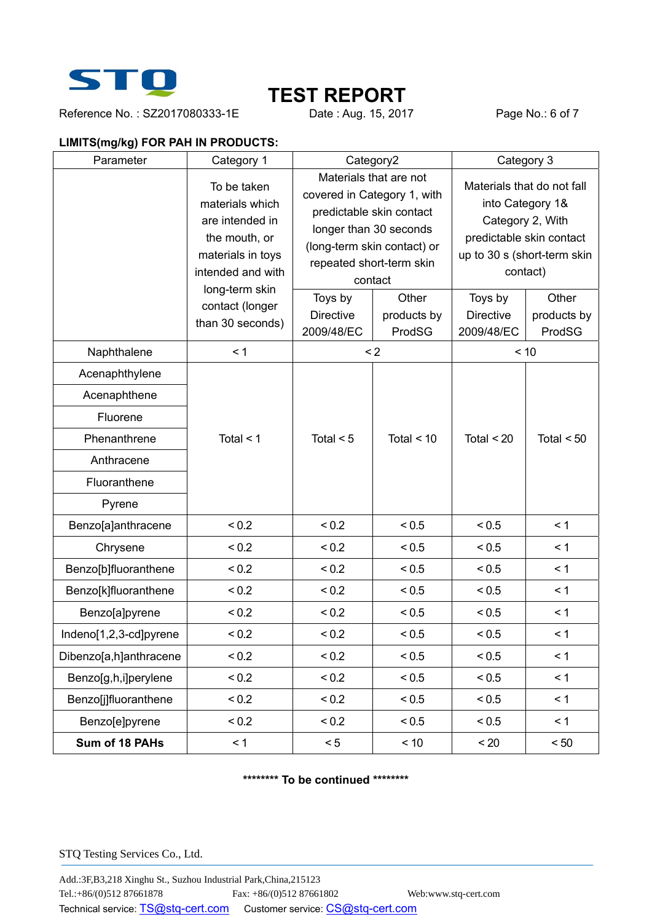

Reference No.: SZ2017080333-1E Date : Aug. 15, 2017 Page No.: 6 of 7

# **TEST REPORT**<br>Date : Aug. 15, 2017

### **LIMITS(mg/kg) FOR PAH IN PRODUCTS:**

| Parameter              | Category 1                                                                                                                     | Category2                      |                                                                                                                                                                                   | Category 3                     |                                                                                                                                           |
|------------------------|--------------------------------------------------------------------------------------------------------------------------------|--------------------------------|-----------------------------------------------------------------------------------------------------------------------------------------------------------------------------------|--------------------------------|-------------------------------------------------------------------------------------------------------------------------------------------|
|                        | To be taken<br>materials which<br>are intended in<br>the mouth, or<br>materials in toys<br>intended and with<br>long-term skin |                                | Materials that are not<br>covered in Category 1, with<br>predictable skin contact<br>longer than 30 seconds<br>(long-term skin contact) or<br>repeated short-term skin<br>contact |                                | Materials that do not fall<br>into Category 1&<br>Category 2, With<br>predictable skin contact<br>up to 30 s (short-term skin<br>contact) |
|                        | contact (longer                                                                                                                | Toys by                        | Other                                                                                                                                                                             | Toys by                        | Other                                                                                                                                     |
|                        | than 30 seconds)                                                                                                               | <b>Directive</b><br>2009/48/EC | products by<br>ProdSG                                                                                                                                                             | <b>Directive</b><br>2009/48/EC | products by<br>ProdSG                                                                                                                     |
| Naphthalene            | < 1                                                                                                                            |                                | $\leq$ 2                                                                                                                                                                          |                                | < 10                                                                                                                                      |
| Acenaphthylene         |                                                                                                                                |                                |                                                                                                                                                                                   |                                |                                                                                                                                           |
| Acenaphthene           |                                                                                                                                |                                |                                                                                                                                                                                   |                                |                                                                                                                                           |
| Fluorene               |                                                                                                                                |                                |                                                                                                                                                                                   |                                |                                                                                                                                           |
| Phenanthrene           | Total $<$ 1                                                                                                                    | Total $<$ 5                    | Total $<$ 10                                                                                                                                                                      | Total $<$ 20                   | Total $< 50$                                                                                                                              |
| Anthracene             |                                                                                                                                |                                |                                                                                                                                                                                   |                                |                                                                                                                                           |
| Fluoranthene           |                                                                                                                                |                                |                                                                                                                                                                                   |                                |                                                                                                                                           |
| Pyrene                 |                                                                                                                                |                                |                                                                                                                                                                                   |                                |                                                                                                                                           |
| Benzo[a]anthracene     | < 0.2                                                                                                                          | < 0.2                          | < 0.5                                                                                                                                                                             | < 0.5                          | < 1                                                                                                                                       |
| Chrysene               | ${}_{0.2}$                                                                                                                     | ${}_{0.2}$                     | < 0.5                                                                                                                                                                             | < 0.5                          | < 1                                                                                                                                       |
| Benzo[b]fluoranthene   | < 0.2                                                                                                                          | < 0.2                          | < 0.5                                                                                                                                                                             | < 0.5                          | < 1                                                                                                                                       |
| Benzo[k]fluoranthene   | ${}_{0.2}$                                                                                                                     | < 0.2                          | < 0.5                                                                                                                                                                             | < 0.5                          | < 1                                                                                                                                       |
| Benzo[a]pyrene         | < 0.2                                                                                                                          | < 0.2                          | < 0.5                                                                                                                                                                             | < 0.5                          | < 1                                                                                                                                       |
| Indeno[1,2,3-cd]pyrene | < 0.2                                                                                                                          | < 0.2                          | < 0.5                                                                                                                                                                             | < 0.5                          | < 1                                                                                                                                       |
| Dibenzo[a,h]anthracene | < 0.2                                                                                                                          | < 0.2                          | < 0.5                                                                                                                                                                             | < 0.5                          | < 1                                                                                                                                       |
| Benzo[g,h,i]perylene   | < 0.2                                                                                                                          | < 0.2                          | < 0.5                                                                                                                                                                             | < 0.5                          | < 1                                                                                                                                       |
| Benzo[j]fluoranthene   | < 0.2                                                                                                                          | < 0.2                          | < 0.5                                                                                                                                                                             | < 0.5                          | < 1                                                                                                                                       |
| Benzo[e]pyrene         | < 0.2                                                                                                                          | < 0.2                          | < 0.5                                                                                                                                                                             | < 0.5                          | < 1                                                                                                                                       |
| Sum of 18 PAHs         | < 1                                                                                                                            | < 5                            | < 10                                                                                                                                                                              | < 20                           | < 50                                                                                                                                      |

**\*\*\*\*\*\*\*\* To be continued \*\*\*\*\*\*\*\***